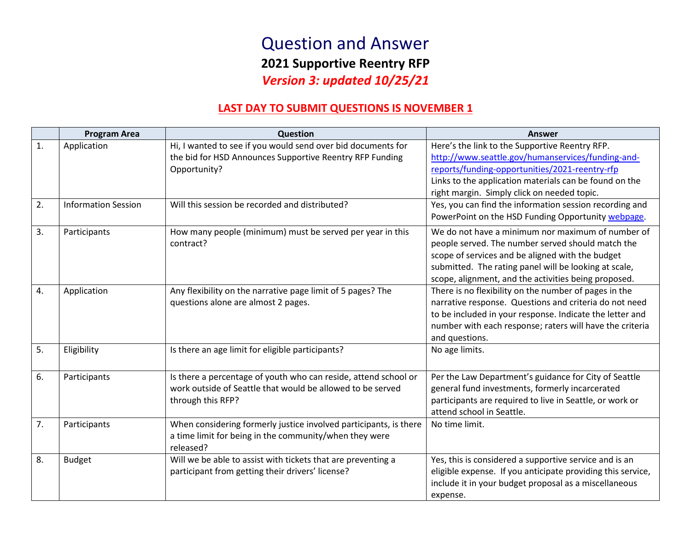## Question and Answer **2021 Supportive Reentry RFP** *Version 3: updated 10/25/21*

### **LAST DAY TO SUBMIT QUESTIONS IS NOVEMBER 1**

|    | <b>Program Area</b>        | Question                                                                                                                                           | <b>Answer</b>                                                                                                                                                                                                                                                               |
|----|----------------------------|----------------------------------------------------------------------------------------------------------------------------------------------------|-----------------------------------------------------------------------------------------------------------------------------------------------------------------------------------------------------------------------------------------------------------------------------|
| 1. | Application                | Hi, I wanted to see if you would send over bid documents for<br>the bid for HSD Announces Supportive Reentry RFP Funding<br>Opportunity?           | Here's the link to the Supportive Reentry RFP.<br>http://www.seattle.gov/humanservices/funding-and-<br>reports/funding-opportunities/2021-reentry-rfp<br>Links to the application materials can be found on the<br>right margin. Simply click on needed topic.              |
| 2. | <b>Information Session</b> | Will this session be recorded and distributed?                                                                                                     | Yes, you can find the information session recording and<br>PowerPoint on the HSD Funding Opportunity webpage.                                                                                                                                                               |
| 3. | Participants               | How many people (minimum) must be served per year in this<br>contract?                                                                             | We do not have a minimum nor maximum of number of<br>people served. The number served should match the<br>scope of services and be aligned with the budget<br>submitted. The rating panel will be looking at scale,<br>scope, alignment, and the activities being proposed. |
| 4. | Application                | Any flexibility on the narrative page limit of 5 pages? The<br>questions alone are almost 2 pages.                                                 | There is no flexibility on the number of pages in the<br>narrative response. Questions and criteria do not need<br>to be included in your response. Indicate the letter and<br>number with each response; raters will have the criteria<br>and questions.                   |
| 5. | Eligibility                | Is there an age limit for eligible participants?                                                                                                   | No age limits.                                                                                                                                                                                                                                                              |
| 6. | Participants               | Is there a percentage of youth who can reside, attend school or<br>work outside of Seattle that would be allowed to be served<br>through this RFP? | Per the Law Department's guidance for City of Seattle<br>general fund investments, formerly incarcerated<br>participants are required to live in Seattle, or work or<br>attend school in Seattle.                                                                           |
| 7. | Participants               | When considering formerly justice involved participants, is there<br>a time limit for being in the community/when they were<br>released?           | No time limit.                                                                                                                                                                                                                                                              |
| 8. | <b>Budget</b>              | Will we be able to assist with tickets that are preventing a<br>participant from getting their drivers' license?                                   | Yes, this is considered a supportive service and is an<br>eligible expense. If you anticipate providing this service,<br>include it in your budget proposal as a miscellaneous<br>expense.                                                                                  |